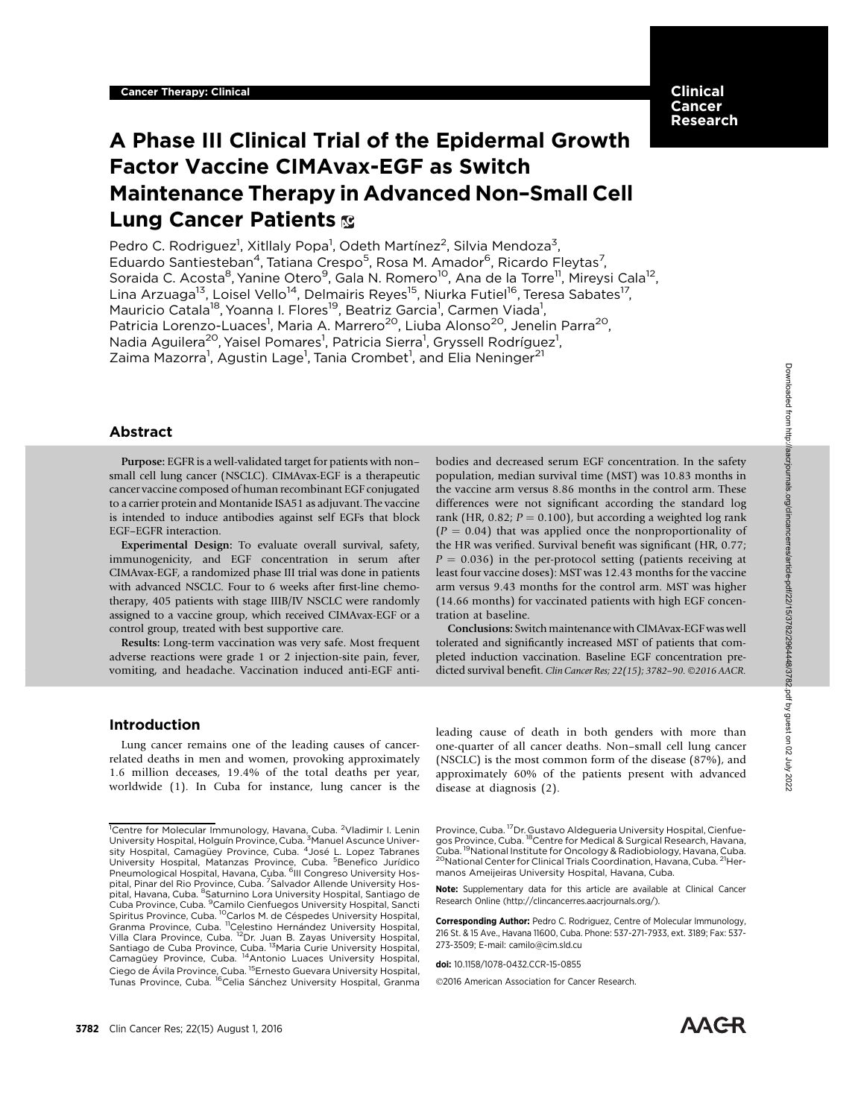# A Phase III Clinical Trial of the Epidermal Growth Factor Vaccine CIMAvax-EGF as Switch Maintenance Therapy in Advanced Non–Small Cell Lung Cancer Patients &

Pedro C. Rodriguez<sup>1</sup>, Xitllaly Popa<sup>1</sup>, Odeth Martínez<sup>2</sup>, Silvia Mendoza<sup>3</sup>, Eduardo Santiesteban<sup>4</sup>, Tatiana Crespo<sup>5</sup>, Rosa M. Amador<sup>6</sup>, Ricardo Fleytas<sup>7</sup>, Soraida C. Acosta<sup>8</sup>, Yanine Otero<sup>9</sup>, Gala N. Romero<sup>10</sup>, Ana de la Torre<sup>11</sup>, Mireysi Cala<sup>12</sup>, Lina Arzuaga<sup>13</sup>, Loisel Vello<sup>14</sup>, Delmairis Reyes<sup>15</sup>, Niurka Futiel<sup>16</sup>, Teresa Sabates<sup>17</sup>, Mauricio Catala<sup>18</sup>, Yoanna I. Flores<sup>19</sup>, Beatriz Garcia<sup>1</sup>, Carmen Viada<sup>1</sup>, Patricia Lorenzo-Luaces<sup>1</sup>, Maria A. Marrero<sup>20</sup>, Liuba Alonso<sup>20</sup>, Jenelin Parra<sup>20</sup>, Nadia Aguilera<sup>20</sup>, Yaisel Pomares<sup>1</sup>, Patricia Sierra<sup>1</sup>, Gryssell Rodríguez<sup>1</sup>, Zaima Mazorra<sup>1</sup>, Agustin Lage<sup>1</sup>, Tania Crombet<sup>1</sup>, and Elia Neninger<sup>21</sup>

# Abstract

Purpose: EGFR is a well-validated target for patients with non– small cell lung cancer (NSCLC). CIMAvax-EGF is a therapeutic cancer vaccine composed of human recombinant EGF conjugated to a carrier protein and Montanide ISA51 as adjuvant. The vaccine is intended to induce antibodies against self EGFs that block EGF–EGFR interaction.

Experimental Design: To evaluate overall survival, safety, immunogenicity, and EGF concentration in serum after CIMAvax-EGF, a randomized phase III trial was done in patients with advanced NSCLC. Four to 6 weeks after first-line chemotherapy, 405 patients with stage IIIB/IV NSCLC were randomly assigned to a vaccine group, which received CIMAvax-EGF or a control group, treated with best supportive care.

Results: Long-term vaccination was very safe. Most frequent adverse reactions were grade 1 or 2 injection-site pain, fever, vomiting, and headache. Vaccination induced anti-EGF antibodies and decreased serum EGF concentration. In the safety population, median survival time (MST) was 10.83 months in the vaccine arm versus 8.86 months in the control arm. These differences were not significant according the standard log rank (HR, 0.82;  $P = 0.100$ ), but according a weighted log rank  $(P = 0.04)$  that was applied once the nonproportionality of the HR was verified. Survival benefit was significant (HR, 0.77;  $P = 0.036$ ) in the per-protocol setting (patients receiving at least four vaccine doses): MST was 12.43 months for the vaccine arm versus 9.43 months for the control arm. MST was higher (14.66 months) for vaccinated patients with high EGF concentration at baseline.

Conclusions: Switch maintenance with CIMAvax-EGF was well tolerated and significantly increased MST of patients that completed induction vaccination. Baseline EGF concentration predicted survival benefit. Clin Cancer Res; 22(15); 3782-90. ©2016 AACR.

# Introduction

Lung cancer remains one of the leading causes of cancerrelated deaths in men and women, provoking approximately 1.6 million deceases, 19.4% of the total deaths per year, worldwide (1). In Cuba for instance, lung cancer is the leading cause of death in both genders with more than one-quarter of all cancer deaths. Non–small cell lung cancer (NSCLC) is the most common form of the disease (87%), and approximately 60% of the patients present with advanced disease at diagnosis (2).

Note: Supplementary data for this article are available at Clinical Cancer Research Online (http://clincancerres.aacrjournals.org/).

Corresponding Author: Pedro C. Rodriguez, Centre of Molecular Immunology, 216 St. & 15 Ave., Havana 11600, Cuba. Phone: 537-271-7933, ext. 3189; Fax: 537- 273-3509; E-mail: camilo@cim.sld.cu

2016 American Association for Cancer Research.



<sup>&</sup>lt;sup>1</sup>Centre for Molecular Immunology, Havana, Cuba. <sup>2</sup>Vladimir I. Lenin University Hospital, Holguín Province, Cuba. <sup>3</sup>Manuel Ascunce Univer-<br>sity Hospital, Camagüey Province, Cuba. <sup>4</sup>José L. Lopez Tabranes<br>University Hospital, Matanzas Province, Cuba. <sup>5</sup>Benefico Jurídico Pneumological Hospital, Havana, Cuba. <sup>6</sup>III Congreso University Hospital, Pinar del Rio Province, Cuba. <sup>7</sup>Salvador Allende University Hos-<br>pital, Havana, Cuba. <sup>8</sup>Saturnino Lora University Hospital, Santiago de .<br>Cuba Province, Cuba. <sup>9</sup>Camilo Cienfuegos University Hospital, Sancti Spiritus Province, Cuba. <sup>10</sup>Carlos M. de Céspedes University Hospital, Granma Province, Cuba. <sup>10</sup>Celestino Hernández University Hospital, Villa Clara Province, Cuba. <sup>12</sup>Or. Juan B. Zayas University Hospital, Salntiago d Ciego de Ávila Province, Cuba. <sup>15</sup>Ernesto Guevara University Hospital, Tunas Province, Cuba. <sup>16</sup>Celia Sánchez University Hospital, Granma

Province, Cuba. 17Dr. Gustavo Aldegueria University Hospital, Cienfuegos Province, Cuba. <sup>18</sup>Centre for Medical & Surgical Research, Havana,<br>Cuba. <sup>19</sup>National Institute for Oncology & Radiobiology, Havana, Cuba.<br><sup>20</sup>National Center for Clinical Trials Coordination, Havana, Cuba. <sup>21</sup>Hermanos Ameijeiras University Hospital, Havana, Cuba.

doi: 10.1158/1078-0432.CCR-15-0855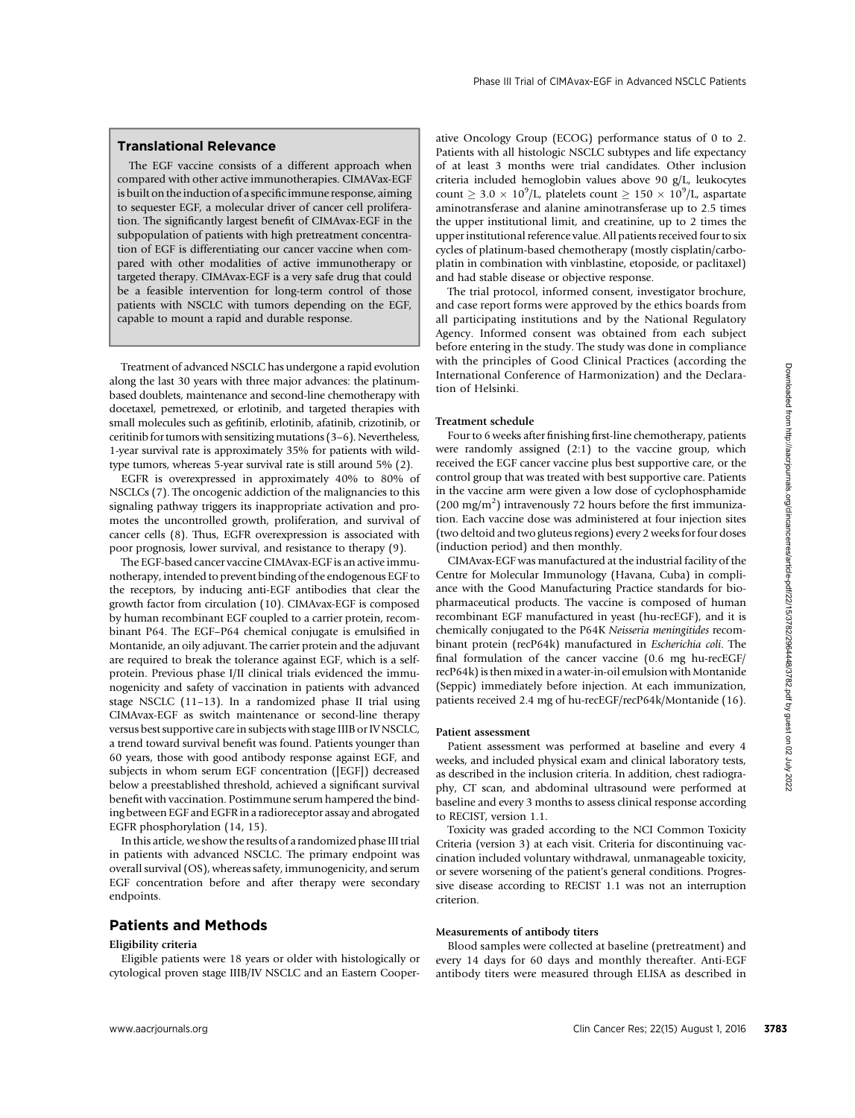# Translational Relevance

The EGF vaccine consists of a different approach when compared with other active immunotherapies. CIMAVax-EGF is built on the induction of a specific immune response, aiming to sequester EGF, a molecular driver of cancer cell proliferation. The significantly largest benefit of CIMAvax-EGF in the subpopulation of patients with high pretreatment concentration of EGF is differentiating our cancer vaccine when compared with other modalities of active immunotherapy or targeted therapy. CIMAvax-EGF is a very safe drug that could be a feasible intervention for long-term control of those patients with NSCLC with tumors depending on the EGF, capable to mount a rapid and durable response.

Treatment of advanced NSCLC has undergone a rapid evolution along the last 30 years with three major advances: the platinumbased doublets, maintenance and second-line chemotherapy with docetaxel, pemetrexed, or erlotinib, and targeted therapies with small molecules such as gefitinib, erlotinib, afatinib, crizotinib, or ceritinib for tumors with sensitizing mutations (3–6). Nevertheless, 1-year survival rate is approximately 35% for patients with wildtype tumors, whereas 5-year survival rate is still around 5% (2).

EGFR is overexpressed in approximately 40% to 80% of NSCLCs (7). The oncogenic addiction of the malignancies to this signaling pathway triggers its inappropriate activation and promotes the uncontrolled growth, proliferation, and survival of cancer cells (8). Thus, EGFR overexpression is associated with poor prognosis, lower survival, and resistance to therapy (9).

The EGF-based cancer vaccine CIMAvax-EGF is an active immunotherapy, intended to prevent binding of the endogenous EGF to the receptors, by inducing anti-EGF antibodies that clear the growth factor from circulation (10). CIMAvax-EGF is composed by human recombinant EGF coupled to a carrier protein, recombinant P64. The EGF–P64 chemical conjugate is emulsified in Montanide, an oily adjuvant. The carrier protein and the adjuvant are required to break the tolerance against EGF, which is a selfprotein. Previous phase I/II clinical trials evidenced the immunogenicity and safety of vaccination in patients with advanced stage NSCLC (11–13). In a randomized phase II trial using CIMAvax-EGF as switch maintenance or second-line therapy versus best supportive care in subjects with stage IIIB or IV NSCLC, a trend toward survival benefit was found. Patients younger than 60 years, those with good antibody response against EGF, and subjects in whom serum EGF concentration ([EGF]) decreased below a preestablished threshold, achieved a significant survival benefit with vaccination. Postimmune serum hampered the binding between EGF and EGFR in a radioreceptor assay and abrogated EGFR phosphorylation (14, 15). We are the total organization of the clinical organization of the clinical cancer Restrictions of the control of the clinical capacitatic points. The control of the clin Cancer Restriction of the clin Cancer Restriction

In this article, we show the results of a randomized phase III trial in patients with advanced NSCLC. The primary endpoint was overall survival (OS), whereas safety, immunogenicity, and serum EGF concentration before and after therapy were secondary endpoints.

## Patients and Methods

#### Eligibility criteria

Eligible patients were 18 years or older with histologically or cytological proven stage IIIB/IV NSCLC and an Eastern Cooperative Oncology Group (ECOG) performance status of 0 to 2. Patients with all histologic NSCLC subtypes and life expectancy of at least 3 months were trial candidates. Other inclusion criteria included hemoglobin values above 90 g/L, leukocytes count  $\geq 3.0 \times 10^9$ /L, platelets count  $\geq 150 \times 10^9$ /L, aspartate aminotransferase and alanine aminotransferase up to 2.5 times the upper institutional limit, and creatinine, up to 2 times the upper institutional reference value. All patients received four to six cycles of platinum-based chemotherapy (mostly cisplatin/carboplatin in combination with vinblastine, etoposide, or paclitaxel) and had stable disease or objective response.

The trial protocol, informed consent, investigator brochure, and case report forms were approved by the ethics boards from all participating institutions and by the National Regulatory Agency. Informed consent was obtained from each subject before entering in the study. The study was done in compliance with the principles of Good Clinical Practices (according the International Conference of Harmonization) and the Declaration of Helsinki.

#### Treatment schedule

Four to 6 weeks after finishing first-line chemotherapy, patients were randomly assigned (2:1) to the vaccine group, which received the EGF cancer vaccine plus best supportive care, or the control group that was treated with best supportive care. Patients in the vaccine arm were given a low dose of cyclophosphamide (200 mg/m2 ) intravenously 72 hours before the first immunization. Each vaccine dose was administered at four injection sites (two deltoid and two gluteus regions) every 2 weeks for four doses (induction period) and then monthly.

CIMAvax-EGF was manufactured at the industrial facility of the Centre for Molecular Immunology (Havana, Cuba) in compliance with the Good Manufacturing Practice standards for biopharmaceutical products. The vaccine is composed of human recombinant EGF manufactured in yeast (hu-recEGF), and it is chemically conjugated to the P64K Neisseria meningitides recombinant protein (recP64k) manufactured in Escherichia coli. The final formulation of the cancer vaccine (0.6 mg hu-recEGF/ recP64k) is then mixed in a water-in-oil emulsion with Montanide (Seppic) immediately before injection. At each immunization, patients received 2.4 mg of hu-recEGF/recP64k/Montanide (16).

#### Patient assessment

Patient assessment was performed at baseline and every 4 weeks, and included physical exam and clinical laboratory tests, as described in the inclusion criteria. In addition, chest radiography, CT scan, and abdominal ultrasound were performed at baseline and every 3 months to assess clinical response according to RECIST, version 1.1.

Toxicity was graded according to the NCI Common Toxicity Criteria (version 3) at each visit. Criteria for discontinuing vaccination included voluntary withdrawal, unmanageable toxicity, or severe worsening of the patient's general conditions. Progressive disease according to RECIST 1.1 was not an interruption criterion.

#### Measurements of antibody titers

Blood samples were collected at baseline (pretreatment) and every 14 days for 60 days and monthly thereafter. Anti-EGF antibody titers were measured through ELISA as described in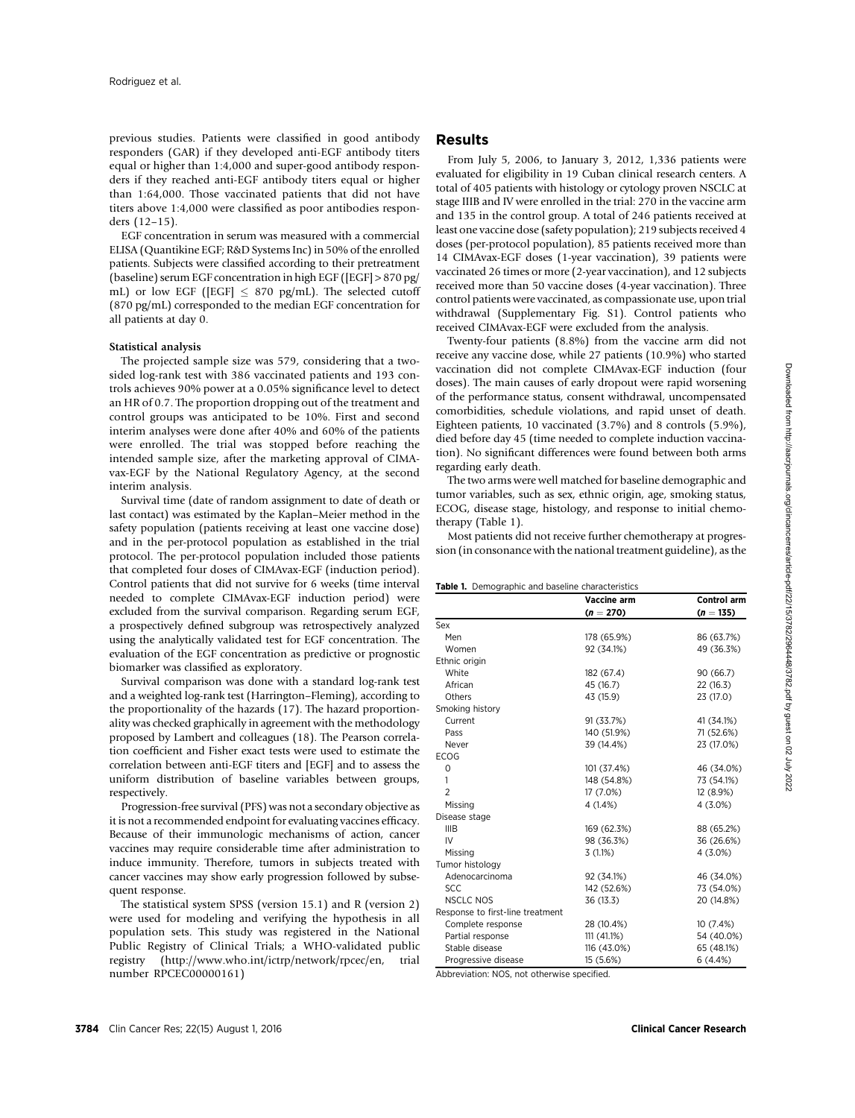previous studies. Patients were classified in good antibody responders (GAR) if they developed anti-EGF antibody titers equal or higher than 1:4,000 and super-good antibody responders if they reached anti-EGF antibody titers equal or higher than 1:64,000. Those vaccinated patients that did not have titers above 1:4,000 were classified as poor antibodies responders (12–15).

EGF concentration in serum was measured with a commercial ELISA (Quantikine EGF; R&D Systems Inc) in 50% of the enrolled patients. Subjects were classified according to their pretreatment (baseline) serum EGF concentration in high EGF ([EGF] > 870 pg/ mL) or low EGF ([EGF]  $\leq$  870 pg/mL). The selected cutoff (870 pg/mL) corresponded to the median EGF concentration for all patients at day 0.

# Statistical analysis

The projected sample size was 579, considering that a twosided log-rank test with 386 vaccinated patients and 193 controls achieves 90% power at a 0.05% significance level to detect an HR of 0.7. The proportion dropping out of the treatment and control groups was anticipated to be 10%. First and second interim analyses were done after 40% and 60% of the patients were enrolled. The trial was stopped before reaching the intended sample size, after the marketing approval of CIMAvax-EGF by the National Regulatory Agency, at the second interim analysis.

Survival time (date of random assignment to date of death or last contact) was estimated by the Kaplan–Meier method in the safety population (patients receiving at least one vaccine dose) and in the per-protocol population as established in the trial protocol. The per-protocol population included those patients that completed four doses of CIMAvax-EGF (induction period). Control patients that did not survive for 6 weeks (time interval needed to complete CIMAvax-EGF induction period) were excluded from the survival comparison. Regarding serum EGF, a prospectively defined subgroup was retrospectively analyzed using the analytically validated test for EGF concentration. The evaluation of the EGF concentration as predictive or prognostic biomarker was classified as exploratory.

Survival comparison was done with a standard log-rank test and a weighted log-rank test (Harrington–Fleming), according to the proportionality of the hazards (17). The hazard proportionality was checked graphically in agreement with the methodology proposed by Lambert and colleagues (18). The Pearson correlation coefficient and Fisher exact tests were used to estimate the correlation between anti-EGF titers and [EGF] and to assess the uniform distribution of baseline variables between groups, respectively.

Progression-free survival (PFS) was not a secondary objective as it is not a recommended endpoint for evaluating vaccines efficacy. Because of their immunologic mechanisms of action, cancer vaccines may require considerable time after administration to induce immunity. Therefore, tumors in subjects treated with cancer vaccines may show early progression followed by subsequent response.

The statistical system SPSS (version 15.1) and R (version 2) were used for modeling and verifying the hypothesis in all population sets. This study was registered in the National Public Registry of Clinical Trials; a WHO-validated public registry (http://www.who.int/ictrp/network/rpcec/en, trial number RPCEC00000161)

## Results

From July 5, 2006, to January 3, 2012, 1,336 patients were evaluated for eligibility in 19 Cuban clinical research centers. A total of 405 patients with histology or cytology proven NSCLC at stage IIIB and IV were enrolled in the trial: 270 in the vaccine arm and 135 in the control group. A total of 246 patients received at least one vaccine dose (safety population); 219 subjects received 4 doses (per-protocol population), 85 patients received more than 14 CIMAvax-EGF doses (1-year vaccination), 39 patients were vaccinated 26 times or more (2-year vaccination), and 12 subjects received more than 50 vaccine doses (4-year vaccination). Three control patients were vaccinated, as compassionate use, upon trial withdrawal (Supplementary Fig. S1). Control patients who received CIMAvax-EGF were excluded from the analysis.

Twenty-four patients (8.8%) from the vaccine arm did not receive any vaccine dose, while 27 patients (10.9%) who started vaccination did not complete CIMAvax-EGF induction (four doses). The main causes of early dropout were rapid worsening of the performance status, consent withdrawal, uncompensated comorbidities, schedule violations, and rapid unset of death. Eighteen patients, 10 vaccinated (3.7%) and 8 controls (5.9%), died before day 45 (time needed to complete induction vaccination). No significant differences were found between both arms regarding early death.

The two arms were well matched for baseline demographic and tumor variables, such as sex, ethnic origin, age, smoking status, ECOG, disease stage, histology, and response to initial chemotherapy (Table 1).

Most patients did not receive further chemotherapy at progression (in consonance with the national treatment guideline), as the

|                                  | Vaccine arm | <b>Control arm</b> |
|----------------------------------|-------------|--------------------|
|                                  | $(n = 270)$ | $(n = 135)$        |
| Sex                              |             |                    |
| Men                              | 178 (65.9%) | 86 (63.7%)         |
| Women                            | 92 (34.1%)  | 49 (36.3%)         |
| Ethnic origin                    |             |                    |
| White                            | 182 (67.4)  | 90 (66.7)          |
| African                          | 45 (16.7)   | 22 (16.3)          |
| Others                           | 43 (15.9)   | 23 (17.0)          |
| Smoking history                  |             |                    |
| Current                          | 91 (33.7%)  | 41 (34.1%)         |
| Pass                             | 140 (51.9%) | 71 (52.6%)         |
| Never                            | 39 (14.4%)  | 23 (17.0%)         |
| <b>ECOG</b>                      |             |                    |
| $\Omega$                         | 101 (37.4%) | 46 (34.0%)         |
| 1                                | 148 (54.8%) | 73 (54.1%)         |
| $\overline{2}$                   | 17 (7.0%)   | 12 (8.9%)          |
| Missing                          | 4 (1.4%)    | 4 (3.0%)           |
| Disease stage                    |             |                    |
| <b>IIIB</b>                      | 169 (62.3%) | 88 (65.2%)         |
| IV                               | 98 (36.3%)  | 36 (26.6%)         |
| Missing                          | 3(1.1%)     | 4 (3.0%)           |
| Tumor histology                  |             |                    |
| Adenocarcinoma                   | 92 (34.1%)  | 46 (34.0%)         |
| <b>SCC</b>                       | 142 (52.6%) | 73 (54.0%)         |
| <b>NSCLC NOS</b>                 | 36 (13.3)   | 20 (14.8%)         |
| Response to first-line treatment |             |                    |
| Complete response                | 28 (10.4%)  | 10 (7.4%)          |
| Partial response                 | 111 (41.1%) | 54 (40.0%)         |
| Stable disease                   | 116 (43.0%) | 65 (48.1%)         |
| Progressive disease              | 15 (5.6%)   | 6(4.4%)            |

Abbreviation: NOS, not otherwise specified.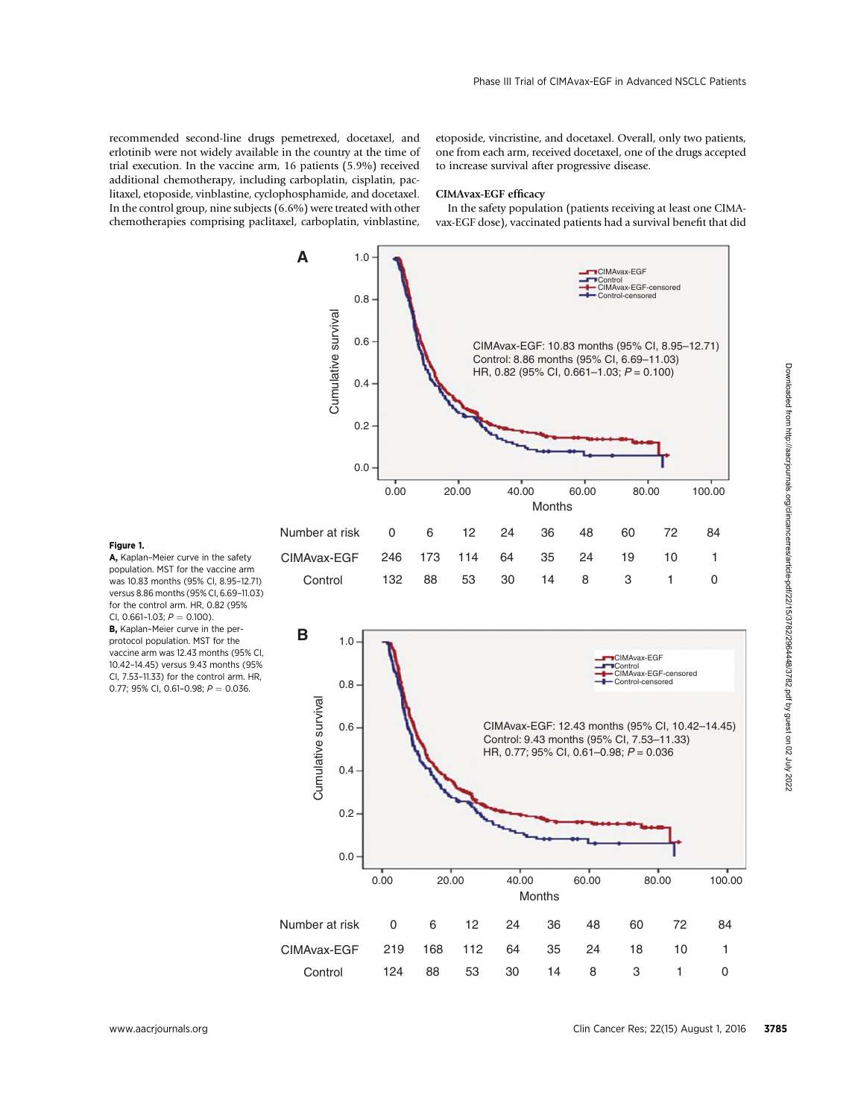recommended second-line drugs pemetrexed, docetaxel, and erlotinib were not widely available in the country at the time of trial execution. In the vaccine arm, 16 patients (5.9%) received additional chemotherapy, including carboplatin, cisplatin, paclitaxel, etoposide, vinblastine, cyclophosphamide, and docetaxel. In the control group, nine subjects (6.6%) were treated with other chemotherapies comprising paclitaxel, carboplatin, vinblastine, etoposide, vincristine, and docetaxel. Overall, only two patients, one from each arm, received docetaxel, one of the drugs accepted to increase survival after progressive disease.

## CIMAvax-EGF efficacy

In the safety population (patients receiving at least one CIMAvax-EGF dose), vaccinated patients had a survival benefit that did



#### Figure 1.

A, Kaplan–Meier curve in the safety population. MST for the vaccine arm was 10.83 months (95% CI, 8.95–12.71) versus 8.86 months (95% CI, 6.69–11.03) for the control arm. HR, 0.82 (95% CI, 0.661-1.03;  $P = 0.100$ ). B, Kaplan-Meier curve in the perprotocol population. MST for the vaccine arm was 12.43 months (95% CI, 10.42–14.45) versus 9.43 months (95% CI, 7.53–11.33) for the control arm. HR, 0.77; 95% CI, 0.61-0.98;  $P = 0.036$ .

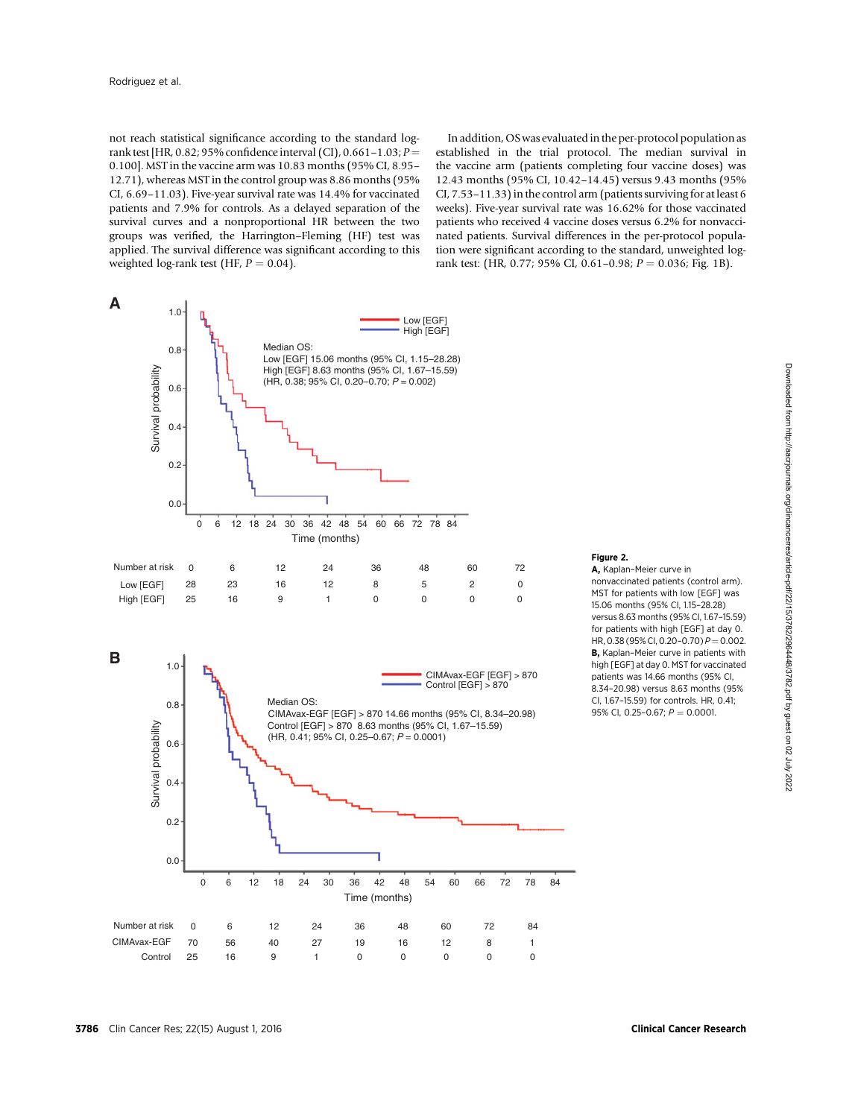not reach statistical significance according to the standard logrank test [HR, 0.82; 95% confidence interval (CI), 0.661-1.03;  $P =$ 0.100]. MST in the vaccine arm was 10.83 months (95% CI, 8.95– 12.71), whereas MST in the control group was 8.86 months (95% CI, 6.69–11.03). Five-year survival rate was 14.4% for vaccinated patients and 7.9% for controls. As a delayed separation of the survival curves and a nonproportional HR between the two groups was verified, the Harrington–Fleming (HF) test was applied. The survival difference was significant according to this weighted log-rank test (HF,  $P = 0.04$ ).

In addition, OS was evaluated in the per-protocol population as established in the trial protocol. The median survival in the vaccine arm (patients completing four vaccine doses) was 12.43 months (95% CI, 10.42–14.45) versus 9.43 months (95% CI, 7.53–11.33) in the control arm (patients surviving for at least 6 weeks). Five-year survival rate was 16.62% for those vaccinated patients who received 4 vaccine doses versus 6.2% for nonvaccinated patients. Survival differences in the per-protocol population were significant according to the standard, unweighted logrank test: (HR, 0.77; 95% CI, 0.61–0.98;  $P = 0.036$ ; Fig. 1B).





#### Figure 2.

A, Kaplan–Meier curve in nonvaccinated patients (control arm). MST for patients with low [EGF] was 15.06 months (95% CI, 1.15–28.28) versus 8.63 months (95% CI, 1.67–15.59) for patients with high [EGF] at day 0. HR, 0.38 (95% CI, 0.20-0.70)  $P = 0.002$ . B, Kaplan-Meier curve in patients with high [EGF] at day 0. MST for vaccinated patients was 14.66 months (95% CI, 8.34–20.98) versus 8.63 months (95% CI, 1.67–15.59) for controls. HR, 0.41; 95% CI, 0.25-0.67;  $P = 0.0001$ .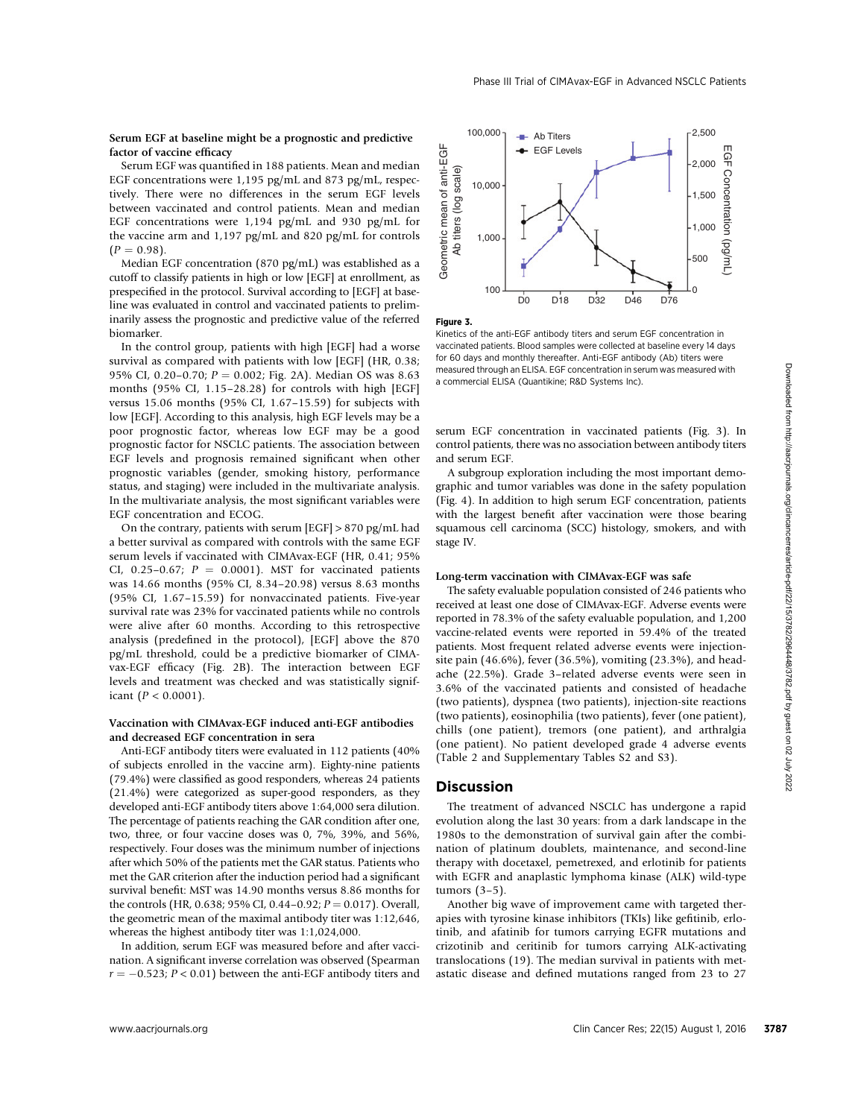## Serum EGF at baseline might be a prognostic and predictive factor of vaccine efficacy

Serum EGF was quantified in 188 patients. Mean and median EGF concentrations were 1,195 pg/mL and 873 pg/mL, respectively. There were no differences in the serum EGF levels between vaccinated and control patients. Mean and median EGF concentrations were 1,194 pg/mL and 930 pg/mL for the vaccine arm and 1,197 pg/mL and 820 pg/mL for controls  $(P = 0.98)$ .

Median EGF concentration (870 pg/mL) was established as a cutoff to classify patients in high or low [EGF] at enrollment, as prespecified in the protocol. Survival according to [EGF] at baseline was evaluated in control and vaccinated patients to preliminarily assess the prognostic and predictive value of the referred biomarker.

In the control group, patients with high [EGF] had a worse survival as compared with patients with low [EGF] (HR, 0.38; 95% CI, 0.20-0.70;  $P = 0.002$ ; Fig. 2A). Median OS was 8.63 months (95% CI, 1.15–28.28) for controls with high [EGF] versus 15.06 months (95% CI, 1.67–15.59) for subjects with low [EGF]. According to this analysis, high EGF levels may be a poor prognostic factor, whereas low EGF may be a good prognostic factor for NSCLC patients. The association between EGF levels and prognosis remained significant when other prognostic variables (gender, smoking history, performance status, and staging) were included in the multivariate analysis. In the multivariate analysis, the most significant variables were EGF concentration and ECOG.

On the contrary, patients with serum [EGF] > 870 pg/mL had a better survival as compared with controls with the same EGF serum levels if vaccinated with CIMAvax-EGF (HR, 0.41; 95% CI, 0.25–0.67;  $P = 0.0001$ ). MST for vaccinated patients was 14.66 months (95% CI, 8.34–20.98) versus 8.63 months (95% CI, 1.67–15.59) for nonvaccinated patients. Five-year survival rate was 23% for vaccinated patients while no controls were alive after 60 months. According to this retrospective analysis (predefined in the protocol), [EGF] above the 870 pg/mL threshold, could be a predictive biomarker of CIMAvax-EGF efficacy (Fig. 2B). The interaction between EGF levels and treatment was checked and was statistically significant  $(P < 0.0001)$ .

## Vaccination with CIMAvax-EGF induced anti-EGF antibodies and decreased EGF concentration in sera

Anti-EGF antibody titers were evaluated in 112 patients (40% of subjects enrolled in the vaccine arm). Eighty-nine patients (79.4%) were classified as good responders, whereas 24 patients (21.4%) were categorized as super-good responders, as they developed anti-EGF antibody titers above 1:64,000 sera dilution. The percentage of patients reaching the GAR condition after one, two, three, or four vaccine doses was 0, 7%, 39%, and 56%, respectively. Four doses was the minimum number of injections after which 50% of the patients met the GAR status. Patients who met the GAR criterion after the induction period had a significant survival benefit: MST was 14.90 months versus 8.86 months for the controls (HR, 0.638; 95% CI, 0.44–0.92;  $P = 0.017$ ). Overall, the geometric mean of the maximal antibody titer was 1:12,646, whereas the highest antibody titer was 1:1,024,000. ys Clin Cancer Rest content in the protos). The Although the State Core and the State Cancer Rest and the State Cancer Cancer Cancer Cancer Cancer Cancer Cancer Cancer Cancer Cancer Cancer Cancer Cancer Cancer Cancer Can

In addition, serum EGF was measured before and after vaccination. A significant inverse correlation was observed (Spearman  $r = -0.523$ ;  $P < 0.01$ ) between the anti-EGF antibody titers and





Kinetics of the anti-EGF antibody titers and serum EGF concentration in vaccinated patients. Blood samples were collected at baseline every 14 days for 60 days and monthly thereafter. Anti-EGF antibody (Ab) titers were measured through an ELISA. EGF concentration in serum was measured with a commercial ELISA (Quantikine; R&D Systems Inc).

serum EGF concentration in vaccinated patients (Fig. 3). In control patients, there was no association between antibody titers and serum EGF.

A subgroup exploration including the most important demographic and tumor variables was done in the safety population (Fig. 4). In addition to high serum EGF concentration, patients with the largest benefit after vaccination were those bearing squamous cell carcinoma (SCC) histology, smokers, and with stage IV.

#### Long-term vaccination with CIMAvax-EGF was safe

The safety evaluable population consisted of 246 patients who received at least one dose of CIMAvax-EGF. Adverse events were reported in 78.3% of the safety evaluable population, and 1,200 vaccine-related events were reported in 59.4% of the treated patients. Most frequent related adverse events were injectionsite pain (46.6%), fever (36.5%), vomiting (23.3%), and headache (22.5%). Grade 3–related adverse events were seen in 3.6% of the vaccinated patients and consisted of headache (two patients), dyspnea (two patients), injection-site reactions (two patients), eosinophilia (two patients), fever (one patient), chills (one patient), tremors (one patient), and arthralgia (one patient). No patient developed grade 4 adverse events (Table 2 and Supplementary Tables S2 and S3).

## Discussion

The treatment of advanced NSCLC has undergone a rapid evolution along the last 30 years: from a dark landscape in the 1980s to the demonstration of survival gain after the combination of platinum doublets, maintenance, and second-line therapy with docetaxel, pemetrexed, and erlotinib for patients with EGFR and anaplastic lymphoma kinase (ALK) wild-type tumors (3–5).

Another big wave of improvement came with targeted therapies with tyrosine kinase inhibitors (TKIs) like gefitinib, erlotinib, and afatinib for tumors carrying EGFR mutations and crizotinib and ceritinib for tumors carrying ALK-activating translocations (19). The median survival in patients with metastatic disease and defined mutations ranged from 23 to 27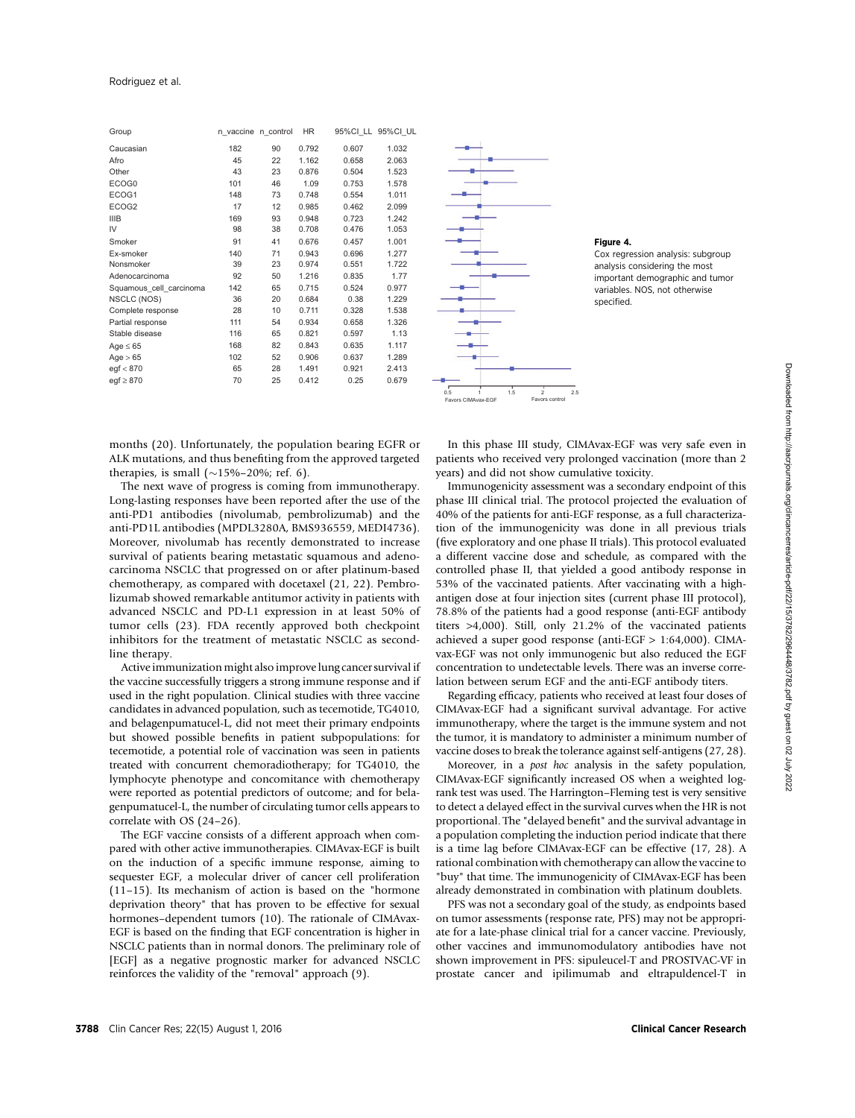| Group                   | n vaccine n control |    | HR.   |       | 95%CI LL 95%CI UL |
|-------------------------|---------------------|----|-------|-------|-------------------|
| Caucasian               | 182                 | 90 | 0.792 | 0.607 | 1.032             |
| Afro                    | 45                  | 22 | 1.162 | 0.658 | 2.063             |
| Other                   | 43                  | 23 | 0.876 | 0.504 | 1.523             |
| ECOG0                   | 101                 | 46 | 1.09  | 0.753 | 1.578             |
| ECOG1                   | 148                 | 73 | 0.748 | 0.554 | 1.011             |
| ECOG2                   | 17                  | 12 | 0.985 | 0.462 | 2.099             |
| <b>IIIB</b>             | 169                 | 93 | 0.948 | 0.723 | 1.242             |
| IV                      | 98                  | 38 | 0.708 | 0.476 | 1.053             |
| Smoker                  | 91                  | 41 | 0.676 | 0.457 | 1.001             |
| Ex-smoker               | 140                 | 71 | 0.943 | 0.696 | 1.277             |
| Nonsmoker               | 39                  | 23 | 0.974 | 0.551 | 1.722             |
| Adenocarcinoma          | 92                  | 50 | 1.216 | 0.835 | 1.77              |
| Squamous cell carcinoma | 142                 | 65 | 0.715 | 0.524 | 0.977             |
| NSCLC (NOS)             | 36                  | 20 | 0.684 | 0.38  | 1.229             |
| Complete response       | 28                  | 10 | 0.711 | 0.328 | 1.538             |
| Partial response        | 111                 | 54 | 0.934 | 0.658 | 1.326             |
| Stable disease          | 116                 | 65 | 0.821 | 0.597 | 1.13              |
| Age $\leq 65$           | 168                 | 82 | 0.843 | 0.635 | 1.117             |
| Age > 65                | 102                 | 52 | 0.906 | 0.637 | 1.289             |
| $\text{egf} < 870$      | 65                  | 28 | 1.491 | 0.921 | 2.413             |
| $\text{egf} \geq 870$   | 70                  | 25 | 0.412 | 0.25  | 0.679             |



## Figure 4.

Cox regression analysis: subgroup analysis considering the most important demographic and tumor variables. NOS, not otherwise specified.

months (20). Unfortunately, the population bearing EGFR or ALK mutations, and thus benefiting from the approved targeted therapies, is small  $(\sim 15\% - 20\%;$  ref. 6).

The next wave of progress is coming from immunotherapy. Long-lasting responses have been reported after the use of the anti-PD1 antibodies (nivolumab, pembrolizumab) and the anti-PD1L antibodies (MPDL3280A, BMS936559, MEDI4736). Moreover, nivolumab has recently demonstrated to increase survival of patients bearing metastatic squamous and adenocarcinoma NSCLC that progressed on or after platinum-based chemotherapy, as compared with docetaxel (21, 22). Pembrolizumab showed remarkable antitumor activity in patients with advanced NSCLC and PD-L1 expression in at least 50% of tumor cells (23). FDA recently approved both checkpoint inhibitors for the treatment of metastatic NSCLC as secondline therapy.

Active immunization might also improve lung cancer survival if the vaccine successfully triggers a strong immune response and if used in the right population. Clinical studies with three vaccine candidates in advanced population, such as tecemotide, TG4010, and belagenpumatucel-L, did not meet their primary endpoints but showed possible benefits in patient subpopulations: for tecemotide, a potential role of vaccination was seen in patients treated with concurrent chemoradiotherapy; for TG4010, the lymphocyte phenotype and concomitance with chemotherapy were reported as potential predictors of outcome; and for belagenpumatucel-L, the number of circulating tumor cells appears to correlate with OS (24–26).

The EGF vaccine consists of a different approach when compared with other active immunotherapies. CIMAvax-EGF is built on the induction of a specific immune response, aiming to sequester EGF, a molecular driver of cancer cell proliferation (11–15). Its mechanism of action is based on the "hormone deprivation theory" that has proven to be effective for sexual hormones–dependent tumors (10). The rationale of CIMAvax-EGF is based on the finding that EGF concentration is higher in NSCLC patients than in normal donors. The preliminary role of [EGF] as a negative prognostic marker for advanced NSCLC reinforces the validity of the "removal" approach (9).

In this phase III study, CIMAvax-EGF was very safe even in patients who received very prolonged vaccination (more than 2 years) and did not show cumulative toxicity.

Immunogenicity assessment was a secondary endpoint of this phase III clinical trial. The protocol projected the evaluation of 40% of the patients for anti-EGF response, as a full characterization of the immunogenicity was done in all previous trials (five exploratory and one phase II trials). This protocol evaluated a different vaccine dose and schedule, as compared with the controlled phase II, that yielded a good antibody response in 53% of the vaccinated patients. After vaccinating with a highantigen dose at four injection sites (current phase III protocol), 78.8% of the patients had a good response (anti-EGF antibody titers >4,000). Still, only 21.2% of the vaccinated patients achieved a super good response (anti-EGF > 1:64,000). CIMAvax-EGF was not only immunogenic but also reduced the EGF concentration to undetectable levels. There was an inverse correlation between serum EGF and the anti-EGF antibody titers.

Regarding efficacy, patients who received at least four doses of CIMAvax-EGF had a significant survival advantage. For active immunotherapy, where the target is the immune system and not the tumor, it is mandatory to administer a minimum number of vaccine doses to break the tolerance against self-antigens (27, 28).

Moreover, in a post hoc analysis in the safety population, CIMAvax-EGF significantly increased OS when a weighted logrank test was used. The Harrington–Fleming test is very sensitive to detect a delayed effect in the survival curves when the HR is not proportional. The "delayed benefit" and the survival advantage in a population completing the induction period indicate that there is a time lag before CIMAvax-EGF can be effective (17, 28). A rational combination with chemotherapy can allow the vaccine to "buy" that time. The immunogenicity of CIMAvax-EGF has been already demonstrated in combination with platinum doublets.

PFS was not a secondary goal of the study, as endpoints based on tumor assessments (response rate, PFS) may not be appropriate for a late-phase clinical trial for a cancer vaccine. Previously, other vaccines and immunomodulatory antibodies have not shown improvement in PFS: sipuleucel-T and PROSTVAC-VF in prostate cancer and ipilimumab and eltrapuldencel-T in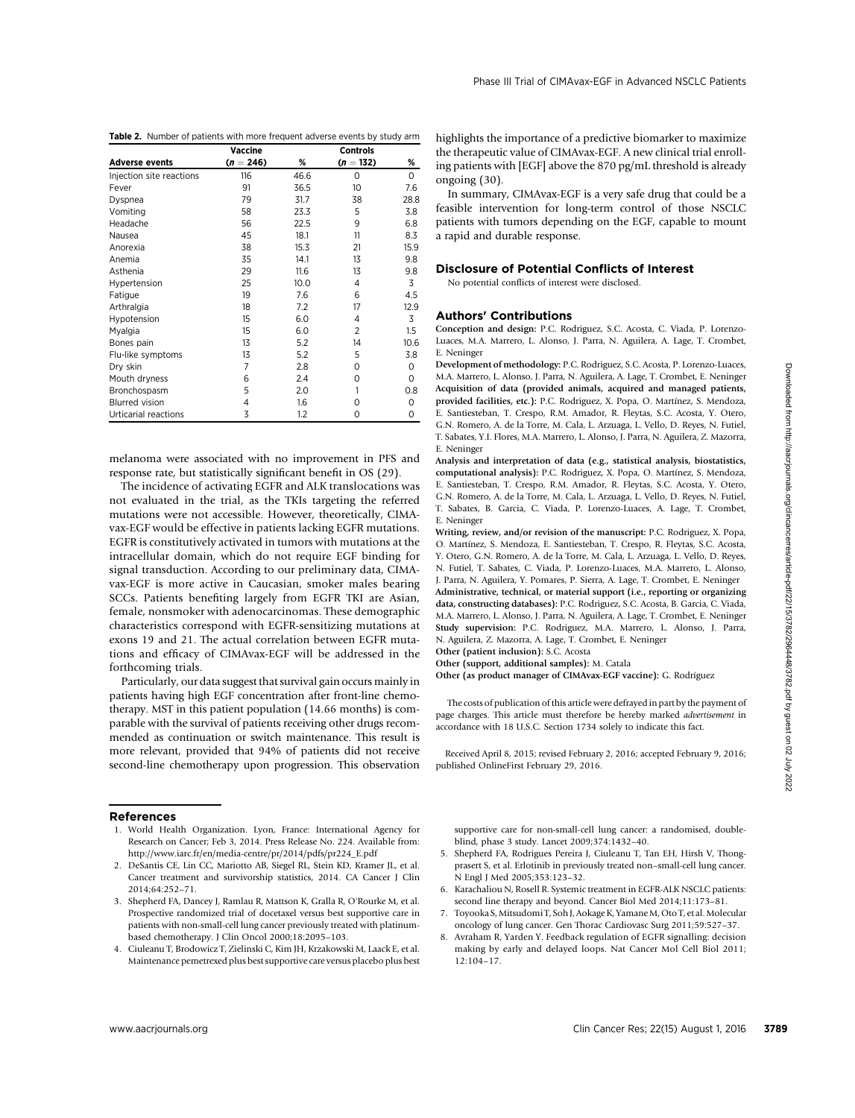| Mouth dryness |  |  |
|---------------|--|--|
| Bronchospasm  |  |  |

Adverse events

melanoma were associated with no improvement in PFS and response rate, but statistically significant benefit in OS (29).

Blurred vision <br>
4 1.6 0 0 0 Urticarial reactions  $\overline{3}$  1.2 0 0

Table 2. Number of patients with more frequent adverse events by study arm

 $(n = 246)$  %<br>116 466

Injection site reactions 116 46.6 0 0 0<br>
Fever 91 36.5 10 7.6 Fever 91 36.5 10 7.6 Dyspnea 79 31.7 38 28.8 Vomiting 58 23.3 5 3.8<br>
Headache 56 22.5 9 6.8 Headache 56 22.5 9 6.8 Nausea 45 18.1 11 8.3 Anorexia 15.3 21 15.9 Anemia 35 14.1 13 9.8 Asthenia 11.6 13 9.8 Hypertension 25 10.0 4 3<br>
Fatique 19 7.6 6 4.5 Fatigue 19 7.6 6 4.5 Arthralgia 18 7.2 17 12.9 Hypotension 15 6.0 4 3<br>15 6.0 2 1.5 Myalgia 15 6.0 2 1.5 Bones pain 13 5.2 14 10.6 Flu-like symptoms 13 5.2 5 3.8 Dry skin 7 2.8 0 0 0

Controls

 $(n = 132)$  %

Vaccine

The incidence of activating EGFR and ALK translocations was not evaluated in the trial, as the TKIs targeting the referred mutations were not accessible. However, theoretically, CIMAvax-EGF would be effective in patients lacking EGFR mutations. EGFR is constitutively activated in tumors with mutations at the intracellular domain, which do not require EGF binding for signal transduction. According to our preliminary data, CIMAvax-EGF is more active in Caucasian, smoker males bearing SCCs. Patients benefiting largely from EGFR TKI are Asian, female, nonsmoker with adenocarcinomas. These demographic characteristics correspond with EGFR-sensitizing mutations at exons 19 and 21. The actual correlation between EGFR mutations and efficacy of CIMAvax-EGF will be addressed in the forthcoming trials.

Particularly, our data suggest that survival gain occurs mainly in patients having high EGF concentration after front-line chemotherapy. MST in this patient population (14.66 months) is comparable with the survival of patients receiving other drugs recommended as continuation or switch maintenance. This result is more relevant, provided that 94% of patients did not receive second-line chemotherapy upon progression. This observation

#### References

- 1. World Health Organization. Lyon, France: International Agency for Research on Cancer; Feb 3, 2014. Press Release No. 224. Available from: http://www.iarc.fr/en/media-centre/pr/2014/pdfs/pr224\_E.pdf
- 2. DeSantis CE, Lin CC, Mariotto AB, Siegel RL, Stein KD, Kramer JL, et al. Cancer treatment and survivorship statistics, 2014. CA Cancer J Clin 2014;64:252–71.
- 3. Shepherd FA, Dancey J, Ramlau R, Mattson K, Gralla R, O'Rourke M, et al. Prospective randomized trial of docetaxel versus best supportive care in patients with non-small-cell lung cancer previously treated with platinumbased chemotherapy. J Clin Oncol 2000;18:2095–103.
- 4. Ciuleanu T, Brodowicz T, Zielinski C, Kim JH, Krzakowski M, Laack E, et al. Maintenance pemetrexed plus best supportive care versus placebo plus best

highlights the importance of a predictive biomarker to maximize the therapeutic value of CIMAvax-EGF. A new clinical trial enrolling patients with [EGF] above the 870 pg/mL threshold is already ongoing (30).

In summary, CIMAvax-EGF is a very safe drug that could be a feasible intervention for long-term control of those NSCLC patients with tumors depending on the EGF, capable to mount a rapid and durable response.

#### Disclosure of Potential Conflicts of Interest

No potential conflicts of interest were disclosed.

#### Authors' Contributions

Conception and design: P.C. Rodriguez, S.C. Acosta, C. Viada, P. Lorenzo-Luaces, M.A. Marrero, L. Alonso, J. Parra, N. Aguilera, A. Lage, T. Crombet, E. Neninger

Development of methodology: P.C. Rodriguez, S.C. Acosta, P. Lorenzo-Luaces, M.A. Marrero, L. Alonso, J. Parra, N. Aguilera, A. Lage, T. Crombet, E. Neninger Acquisition of data (provided animals, acquired and managed patients, provided facilities, etc.): P.C. Rodriguez, X. Popa, O. Martínez, S. Mendoza, E. Santiesteban, T. Crespo, R.M. Amador, R. Fleytas, S.C. Acosta, Y. Otero, G.N. Romero, A. de la Torre, M. Cala, L. Arzuaga, L. Vello, D. Reyes, N. Futiel, T. Sabates, Y.I. Flores, M.A. Marrero, L. Alonso, J. Parra, N. Aguilera, Z. Mazorra, E. Neninger

Analysis and interpretation of data (e.g., statistical analysis, biostatistics, computational analysis): P.C. Rodriguez, X. Popa, O. Martínez, S. Mendoza, E. Santiesteban, T. Crespo, R.M. Amador, R. Fleytas, S.C. Acosta, Y. Otero, G.N. Romero, A. de la Torre, M. Cala, L. Arzuaga, L. Vello, D. Reyes, N. Futiel, T. Sabates, B. Garcia, C. Viada, P. Lorenzo-Luaces, A. Lage, T. Crombet, E. Neninger

Writing, review, and/or revision of the manuscript: P.C. Rodriguez, X. Popa, O. Martínez, S. Mendoza, E. Santiesteban, T. Crespo, R. Fleytas, S.C. Acosta, Y. Otero, G.N. Romero, A. de la Torre, M. Cala, L. Arzuaga, L. Vello, D. Reyes, N. Futiel, T. Sabates, C. Viada, P. Lorenzo-Luaces, M.A. Marrero, L. Alonso, J. Parra, N. Aguilera, Y. Pomares, P. Sierra, A. Lage, T. Crombet, E. Neninger Administrative, technical, or material support (i.e., reporting or organizing data, constructing databases): P.C. Rodriguez, S.C. Acosta, B. Garcia, C. Viada, M.A. Marrero, L. Alonso, J. Parra, N. Aguilera, A. Lage, T. Crombet, E. Neninger Study supervision: P.C. Rodriguez, M.A. Marrero, L. Alonso, J. Parra, N. Aguilera, Z. Mazorra, A. Lage, T. Crombet, E. Neninger

Other (patient inclusion): S.C. Acosta

Other (support, additional samples): M. Catala

Other (as product manager of CIMAvax-EGF vaccine): G. Rodríguez

The costs of publication of this article were defrayed in part by the payment of page charges. This article must therefore be hereby marked *advertisement* in accordance with 18 U.S.C. Section 1734 solely to indicate this fact.

Received April 8, 2015; revised February 2, 2016; accepted February 9, 2016; published OnlineFirst February 29, 2016.

supportive care for non-small-cell lung cancer: a randomised, doubleblind, phase 3 study. Lancet 2009;374:1432–40.

- 5. Shepherd FA, Rodrigues Pereira J, Ciuleanu T, Tan EH, Hirsh V, Thongprasert S, et al. Erlotinib in previously treated non–small-cell lung cancer. N Engl J Med 2005;353:123–32.
- 6. Karachaliou N, Rosell R. Systemic treatment in EGFR-ALK NSCLC patients: second line therapy and beyond. Cancer Biol Med 2014;11:173–81.
- 7. Toyooka S, Mitsudomi T, Soh J, Aokage K, Yamane M, Oto T, et al. Molecular oncology of lung cancer. Gen Thorac Cardiovasc Surg 2011;59:527–37.
- 8. Avraham R, Yarden Y. Feedback regulation of EGFR signalling: decision making by early and delayed loops. Nat Cancer Mol Cell Biol 2011; 12:104–17.